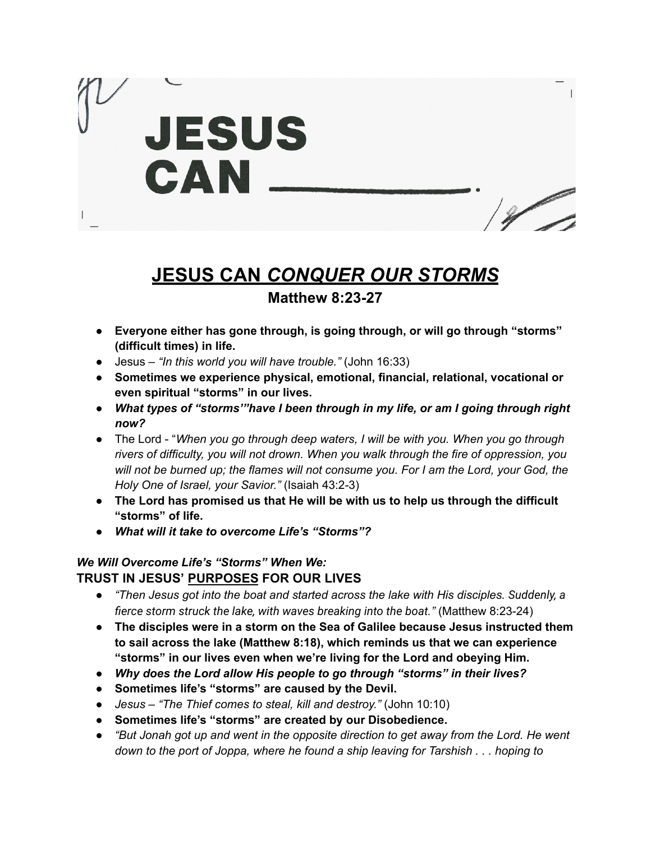

# **JESUS CAN** *CONQUER OUR STORMS*

## **Matthew 8:23-27**

- **● Everyone either has gone through, is going through, or will go through "storms" (difficult times) in life.**
- Jesus *"In this world you will have trouble."* (John 16:33)
- **Sometimes we experience physical, emotional, financial, relational, vocational or even spiritual "storms" in our lives.**
- *What types of "storms'"have I been through in my life, or am I going through right now?*
- The Lord "*When you go through deep waters, I will be with you. When you go through rivers of difficulty, you will not drown. When you walk through the fire of oppression, you will not be burned up; the flames will not consume you. For I am the Lord, your God, the Holy One of Israel, your Savior."* (Isaiah 43:2-3)
- **The Lord has promised us that He will be with us to help us through the difficult "storms" of life.**
- *What will it take to overcome Life's "Storms"?*

### *We Will Overcome Life's "Storms" When We:* **TRUST IN JESUS' PURPOSES FOR OUR LIVES**

- *● "Then Jesus got into the boat and started across the lake with His disciples. Suddenly, a fierce storm struck the lake, with waves breaking into the boat."* (Matthew 8:23-24)
- **● The disciples were in a storm on the Sea of Galilee because Jesus instructed them to sail across the lake (Matthew 8:18), which reminds us that we can experience "storms" in our lives even when we're living for the Lord and obeying Him.**
- *● Why does the Lord allow His people to go through "storms" in their lives?*
- *●* **Sometimes life's "storms" are caused by the Devil.**
- *● Jesus – "The Thief comes to steal, kill and destroy."* (John 10:10)
- *●* **Sometimes life's "storms" are created by our Disobedience.**
- *● "But Jonah got up and went in the opposite direction to get away from the Lord. He went down to the port of Joppa, where he found a ship leaving for Tarshish . . . hoping to*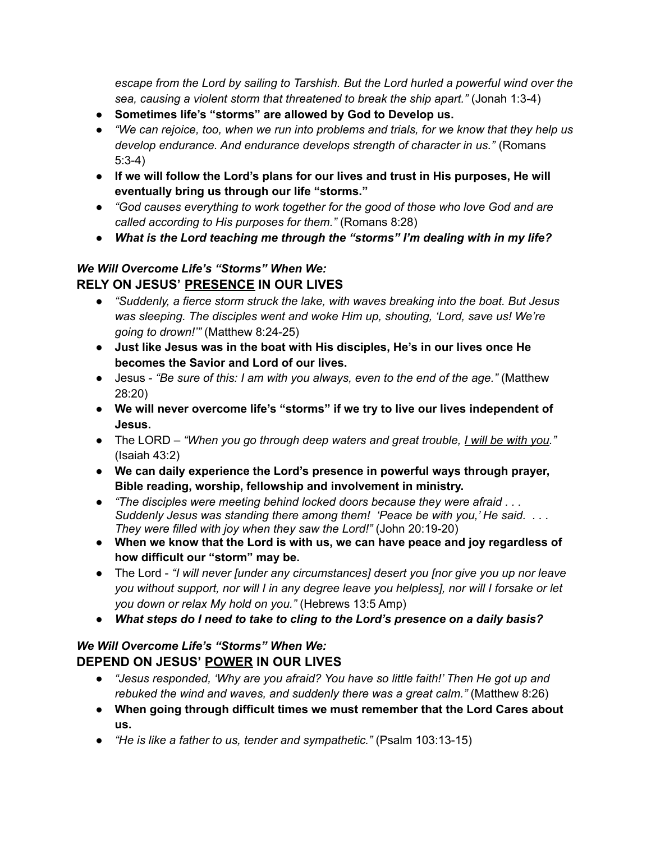*escape from the Lord by sailing to Tarshish. But the Lord hurled a powerful wind over the sea, causing a violent storm that threatened to break the ship apart."* (Jonah 1:3-4)

- *●* **Sometimes life's "storms" are allowed by God to Develop us.**
- *● "We can rejoice, too, when we run into problems and trials, for we know that they help us develop endurance. And endurance develops strength of character in us."* (Romans 5:3-4)
- *●* **If we will follow the Lord's plans for our lives and trust in His purposes, He will eventually bring us through our life "storms."**
- *● "God causes everything to work together for the good of those who love God and are called according to His purposes for them."* (Romans 8:28)
- *● What is the Lord teaching me through the "storms" I'm dealing with in my life?*

#### *We Will Overcome Life's "Storms" When We:* **RELY ON JESUS' PRESENCE IN OUR LIVES**

- *● "Suddenly, a fierce storm struck the lake, with waves breaking into the boat. But Jesus was sleeping. The disciples went and woke Him up, shouting, 'Lord, save us! We're going to drown!'"* (Matthew 8:24-25)
- **● Just like Jesus was in the boat with His disciples, He's in our lives once He becomes the Savior and Lord of our lives.**
- *●* Jesus *"Be sure of this: I am with you always, even to the end of the age."* (Matthew 28:20)
- *●* **We will never overcome life's "storms" if we try to live our lives independent of Jesus.**
- *●* The LORD *"When you go through deep waters and great trouble, I will be with you."* (Isaiah 43:2)
- **We can daily experience the Lord's presence in powerful ways through prayer, Bible reading, worship, fellowship and involvement in ministry.**
- **●** *"The disciples were meeting behind locked doors because they were afraid . . . Suddenly Jesus was standing there among them! 'Peace be with you,' He said. . . . They were filled with joy when they saw the Lord!"* (John 20:19-20)
- *●* **When we know that the Lord is with us, we can have peace and joy regardless of how difficult our "storm" may be.**
- *●* The Lord *"I will never [under any circumstances] desert you [nor give you up nor leave you without support, nor will I in any degree leave you helpless], nor will I forsake or let you down or relax My hold on you."* (Hebrews 13:5 Amp)
- *● What steps do I need to take to cling to the Lord's presence on a daily basis?*

#### *We Will Overcome Life's "Storms" When We:* **DEPEND ON JESUS' POWER IN OUR LIVES**

- *● "Jesus responded, 'Why are you afraid? You have so little faith!' Then He got up and rebuked the wind and waves, and suddenly there was a great calm."* (Matthew 8:26)
- *●* **When going through difficult times we must remember that the Lord Cares about us.**
- *● "He is like a father to us, tender and sympathetic."* (Psalm 103:13-15)